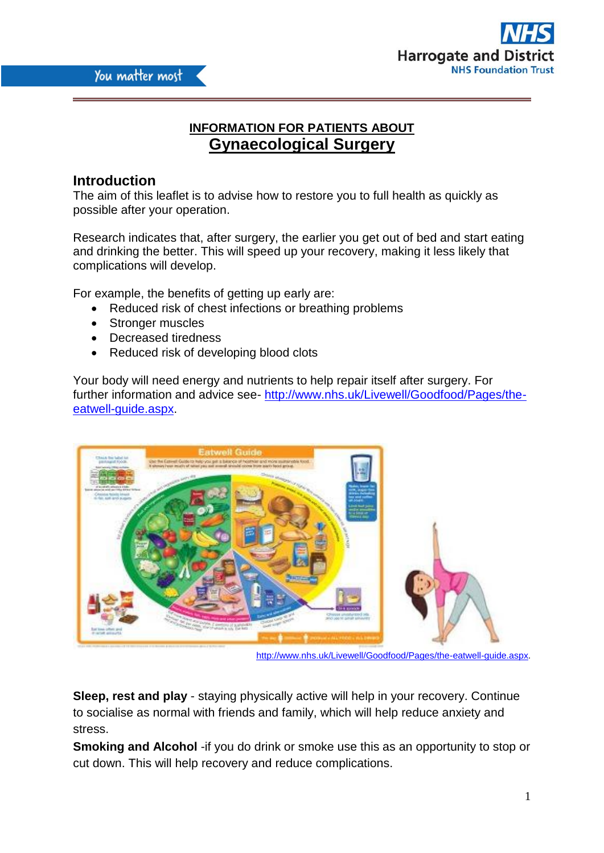

# **INFORMATION FOR PATIENTS ABOUT Gynaecological Surgery**

# **Introduction**

The aim of this leaflet is to advise how to restore you to full health as quickly as possible after your operation.

Research indicates that, after surgery, the earlier you get out of bed and start eating and drinking the better. This will speed up your recovery, making it less likely that complications will develop.

For example, the benefits of getting up early are:

- Reduced risk of chest infections or breathing problems
- Stronger muscles
- Decreased tiredness
- Reduced risk of developing blood clots

Your body will need energy and nutrients to help repair itself after surgery. For further information and advice see- [http://www.nhs.uk/Livewell/Goodfood/Pages/the](http://www.nhs.uk/Livewell/Goodfood/Pages/the-eatwell-guide.aspx)[eatwell-guide.aspx.](http://www.nhs.uk/Livewell/Goodfood/Pages/the-eatwell-guide.aspx)



[http://www.nhs.uk/Livewell/Goodfood/Pages/the-eatwell-guide.aspx.](http://www.nhs.uk/Livewell/Goodfood/Pages/the-eatwell-guide.aspx)

**Sleep, rest and play** - staying physically active will help in your recovery. Continue to socialise as normal with friends and family, which will help reduce anxiety and stress.

**Smoking and Alcohol** -if you do drink or smoke use this as an opportunity to stop or cut down. This will help recovery and reduce complications.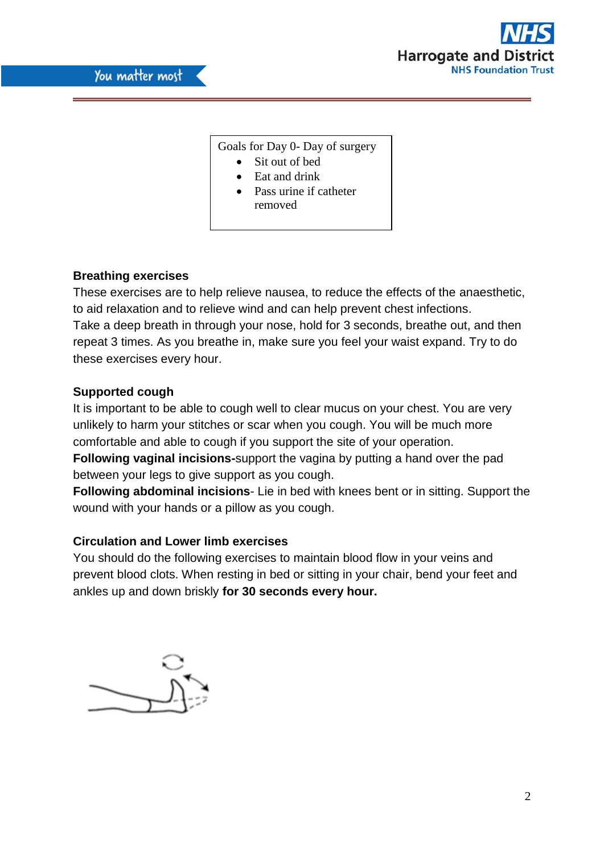

## Goals for Day 0- Day of surgery

- Sit out of bed
- Eat and drink
- Pass urine if catheter removed

# **Breathing exercises**

These exercises are to help relieve nausea, to reduce the effects of the anaesthetic, to aid relaxation and to relieve wind and can help prevent chest infections. Take a deep breath in through your nose, hold for 3 seconds, breathe out, and then repeat 3 times. As you breathe in, make sure you feel your waist expand. Try to do these exercises every hour.

# **Supported cough**

It is important to be able to cough well to clear mucus on your chest. You are very unlikely to harm your stitches or scar when you cough. You will be much more comfortable and able to cough if you support the site of your operation. **Following vaginal incisions-**support the vagina by putting a hand over the pad between your legs to give support as you cough.

**Following abdominal incisions**- Lie in bed with knees bent or in sitting. Support the wound with your hands or a pillow as you cough.

## **Circulation and Lower limb exercises**

You should do the following exercises to maintain blood flow in your veins and prevent blood clots. When resting in bed or sitting in your chair, bend your feet and ankles up and down briskly **for 30 seconds every hour.**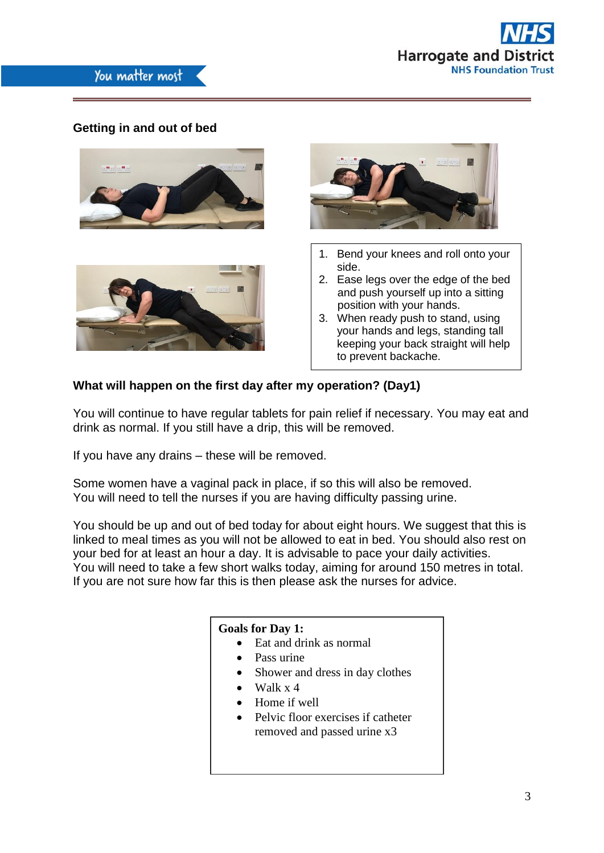

# **Getting in and out of bed**







- 1. Bend your knees and roll onto your side.
- 2. Ease legs over the edge of the bed and push yourself up into a sitting position with your hands.
- 3. When ready push to stand, using your hands and legs, standing tall keeping your back straight will help to prevent backache.

## **What will happen on the first day after my operation? (Day1)**

You will continue to have regular tablets for pain relief if necessary. You may eat and drink as normal. If you still have a drip, this will be removed.

If you have any drains – these will be removed.

Some women have a vaginal pack in place, if so this will also be removed. You will need to tell the nurses if you are having difficulty passing urine.

You should be up and out of bed today for about eight hours. We suggest that this is linked to meal times as you will not be allowed to eat in bed. You should also rest on your bed for at least an hour a day. It is advisable to pace your daily activities. You will need to take a few short walks today, aiming for around 150 metres in total. If you are not sure how far this is then please ask the nurses for advice.

## **Goals for Day 1:**

- Eat and drink as normal
- Pass urine
- Shower and dress in day clothes
- $\bullet$  Walk x 4
- Home if well
- Pelvic floor exercises if catheter removed and passed urine x3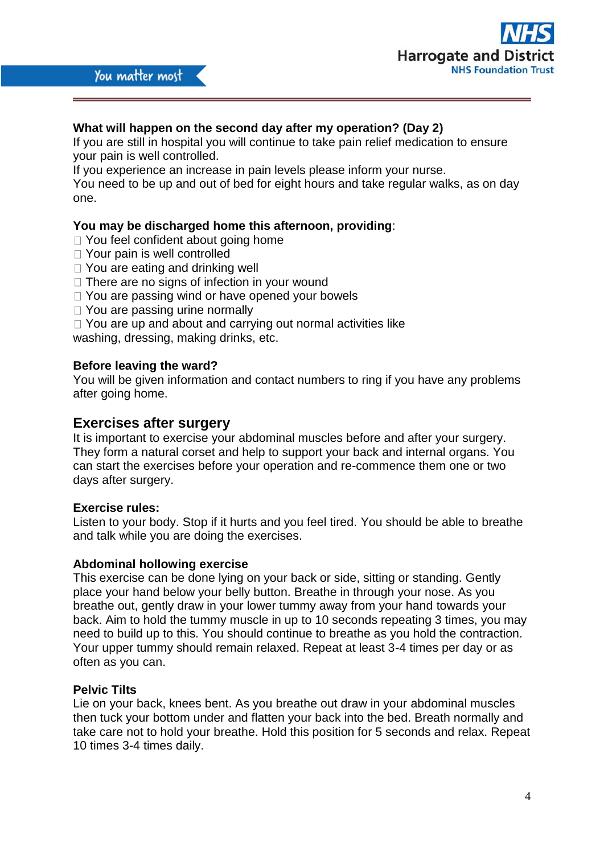

## **What will happen on the second day after my operation? (Day 2)**

If you are still in hospital you will continue to take pain relief medication to ensure your pain is well controlled.

If you experience an increase in pain levels please inform your nurse.

You need to be up and out of bed for eight hours and take regular walks, as on day one.

## **You may be discharged home this afternoon, providing**:

- □ You feel confident about going home
- □ Your pain is well controlled
- □ You are eating and drinking well
- $\Box$  There are no signs of infection in your wound
- □ You are passing wind or have opened your bowels
- □ You are passing urine normally
- $\Box$  You are up and about and carrying out normal activities like

washing, dressing, making drinks, etc.

## **Before leaving the ward?**

You will be given information and contact numbers to ring if you have any problems after going home.

# **Exercises after surgery**

It is important to exercise your abdominal muscles before and after your surgery. They form a natural corset and help to support your back and internal organs. You can start the exercises before your operation and re-commence them one or two days after surgery.

## **Exercise rules:**

Listen to your body. Stop if it hurts and you feel tired. You should be able to breathe and talk while you are doing the exercises.

#### **Abdominal hollowing exercise**

This exercise can be done lying on your back or side, sitting or standing. Gently place your hand below your belly button. Breathe in through your nose. As you breathe out, gently draw in your lower tummy away from your hand towards your back. Aim to hold the tummy muscle in up to 10 seconds repeating 3 times, you may need to build up to this. You should continue to breathe as you hold the contraction. Your upper tummy should remain relaxed. Repeat at least 3-4 times per day or as often as you can.

## **Pelvic Tilts**

Lie on your back, knees bent. As you breathe out draw in your abdominal muscles then tuck your bottom under and flatten your back into the bed. Breath normally and take care not to hold your breathe. Hold this position for 5 seconds and relax. Repeat 10 times 3-4 times daily.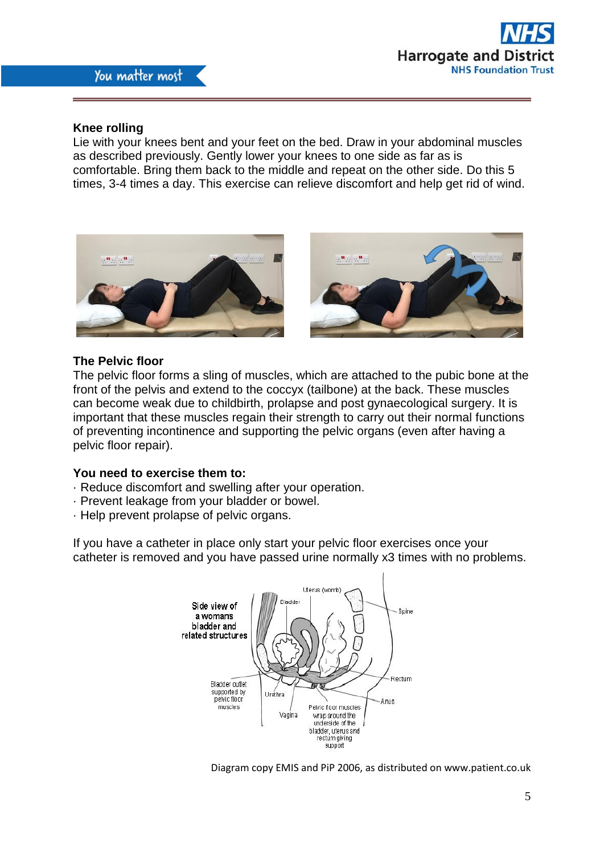

#### **Knee rolling**

Lie with your knees bent and your feet on the bed. Draw in your abdominal muscles as described previously. Gently lower your knees to one side as far as is comfortable. Bring them back to the middle and repeat on the other side. Do this 5 times, 3-4 times a day. This exercise can relieve discomfort and help get rid of wind.



#### **The Pelvic floor**

The pelvic floor forms a sling of muscles, which are attached to the pubic bone at the front of the pelvis and extend to the coccyx (tailbone) at the back. These muscles can become weak due to childbirth, prolapse and post gynaecological surgery. It is important that these muscles regain their strength to carry out their normal functions of preventing incontinence and supporting the pelvic organs (even after having a pelvic floor repair).

#### **You need to exercise them to:**

- · Reduce discomfort and swelling after your operation.
- · Prevent leakage from your bladder or bowel.
- · Help prevent prolapse of pelvic organs.

If you have a catheter in place only start your pelvic floor exercises once your catheter is removed and you have passed urine normally x3 times with no problems.



Diagram copy EMIS and PiP 2006, as distributed on www.patient.co.uk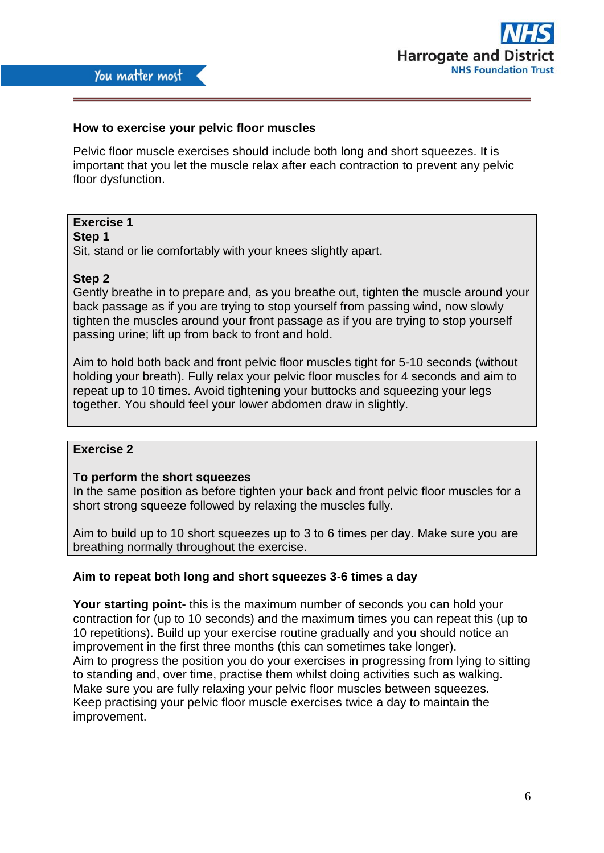

## **How to exercise your pelvic floor muscles**

Pelvic floor muscle exercises should include both long and short squeezes. It is important that you let the muscle relax after each contraction to prevent any pelvic floor dysfunction.

# **Exercise 1**

**Step 1**

Sit, stand or lie comfortably with your knees slightly apart.

## **Step 2**

Gently breathe in to prepare and, as you breathe out, tighten the muscle around your back passage as if you are trying to stop yourself from passing wind, now slowly tighten the muscles around your front passage as if you are trying to stop yourself passing urine; lift up from back to front and hold.

Aim to hold both back and front pelvic floor muscles tight for 5-10 seconds (without holding your breath). Fully relax your pelvic floor muscles for 4 seconds and aim to repeat up to 10 times. Avoid tightening your buttocks and squeezing your legs together. You should feel your lower abdomen draw in slightly.

## **Exercise 2**

#### **To perform the short squeezes**

In the same position as before tighten your back and front pelvic floor muscles for a short strong squeeze followed by relaxing the muscles fully.

Aim to build up to 10 short squeezes up to 3 to 6 times per day. Make sure you are breathing normally throughout the exercise.

#### **Aim to repeat both long and short squeezes 3-6 times a day**

**Your starting point-** this is the maximum number of seconds you can hold your contraction for (up to 10 seconds) and the maximum times you can repeat this (up to 10 repetitions). Build up your exercise routine gradually and you should notice an improvement in the first three months (this can sometimes take longer). Aim to progress the position you do your exercises in progressing from lying to sitting to standing and, over time, practise them whilst doing activities such as walking. Make sure you are fully relaxing your pelvic floor muscles between squeezes. Keep practising your pelvic floor muscle exercises twice a day to maintain the improvement.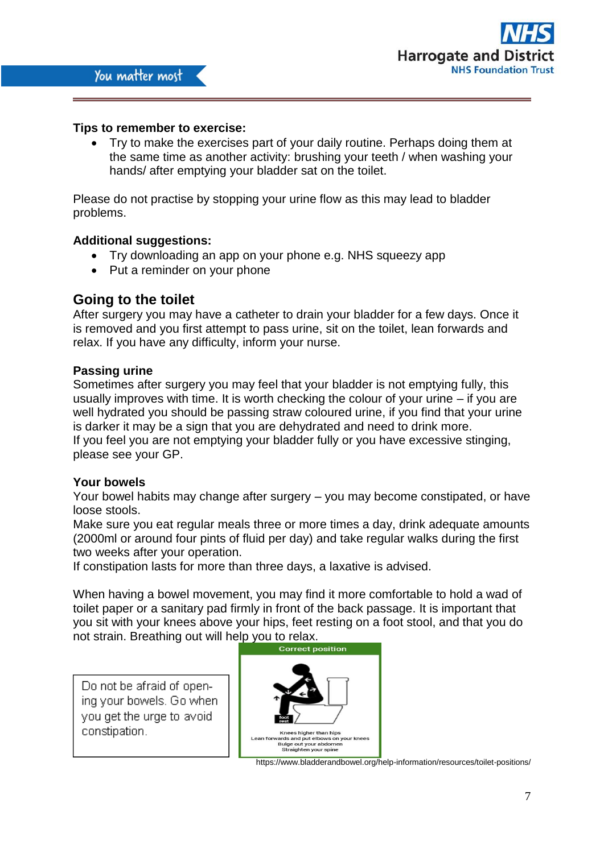

## **Tips to remember to exercise:**

 Try to make the exercises part of your daily routine. Perhaps doing them at the same time as another activity: brushing your teeth / when washing your hands/ after emptying your bladder sat on the toilet.

Please do not practise by stopping your urine flow as this may lead to bladder problems.

#### **Additional suggestions:**

- Try downloading an app on your phone e.g. NHS squeezy app
- Put a reminder on your phone

# **Going to the toilet**

After surgery you may have a catheter to drain your bladder for a few days. Once it is removed and you first attempt to pass urine, sit on the toilet, lean forwards and relax. If you have any difficulty, inform your nurse.

## **Passing urine**

Sometimes after surgery you may feel that your bladder is not emptying fully, this usually improves with time. It is worth checking the colour of your urine – if you are well hydrated you should be passing straw coloured urine, if you find that your urine is darker it may be a sign that you are dehydrated and need to drink more. If you feel you are not emptying your bladder fully or you have excessive stinging, please see your GP.

#### **Your bowels**

Your bowel habits may change after surgery – you may become constipated, or have loose stools.

Make sure you eat regular meals three or more times a day, drink adequate amounts (2000ml or around four pints of fluid per day) and take regular walks during the first two weeks after your operation.

If constipation lasts for more than three days, a laxative is advised.

When having a bowel movement, you may find it more comfortable to hold a wad of toilet paper or a sanitary pad firmly in front of the back passage. It is important that you sit with your knees above your hips, feet resting on a foot stool, and that you do not strain. Breathing out will help you to relax.

Do not be afraid of opening your bowels. Go when vou get the urge to avoid constipation.  $\vert$ 



https://www.bladderandbowel.org/help-information/resources/toilet-positions/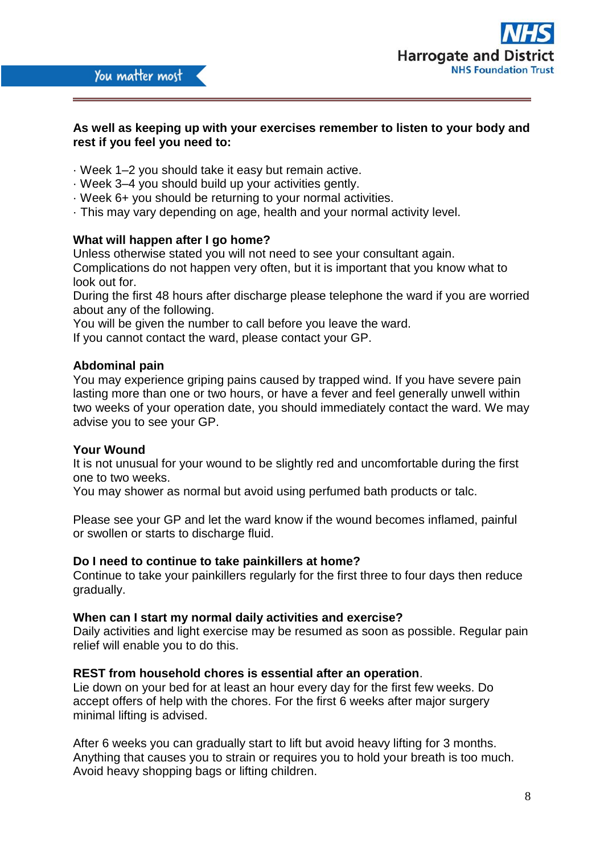

## **As well as keeping up with your exercises remember to listen to your body and rest if you feel you need to:**

- · Week 1–2 you should take it easy but remain active.
- · Week 3–4 you should build up your activities gently.
- · Week 6+ you should be returning to your normal activities.
- · This may vary depending on age, health and your normal activity level.

## **What will happen after I go home?**

Unless otherwise stated you will not need to see your consultant again.

Complications do not happen very often, but it is important that you know what to look out for.

During the first 48 hours after discharge please telephone the ward if you are worried about any of the following.

You will be given the number to call before you leave the ward.

If you cannot contact the ward, please contact your GP.

## **Abdominal pain**

You may experience griping pains caused by trapped wind. If you have severe pain lasting more than one or two hours, or have a fever and feel generally unwell within two weeks of your operation date, you should immediately contact the ward. We may advise you to see your GP.

#### **Your Wound**

It is not unusual for your wound to be slightly red and uncomfortable during the first one to two weeks.

You may shower as normal but avoid using perfumed bath products or talc.

Please see your GP and let the ward know if the wound becomes inflamed, painful or swollen or starts to discharge fluid.

#### **Do I need to continue to take painkillers at home?**

Continue to take your painkillers regularly for the first three to four days then reduce gradually.

#### **When can I start my normal daily activities and exercise?**

Daily activities and light exercise may be resumed as soon as possible. Regular pain relief will enable you to do this.

#### **REST from household chores is essential after an operation**.

Lie down on your bed for at least an hour every day for the first few weeks. Do accept offers of help with the chores. For the first 6 weeks after major surgery minimal lifting is advised.

After 6 weeks you can gradually start to lift but avoid heavy lifting for 3 months. Anything that causes you to strain or requires you to hold your breath is too much. Avoid heavy shopping bags or lifting children.